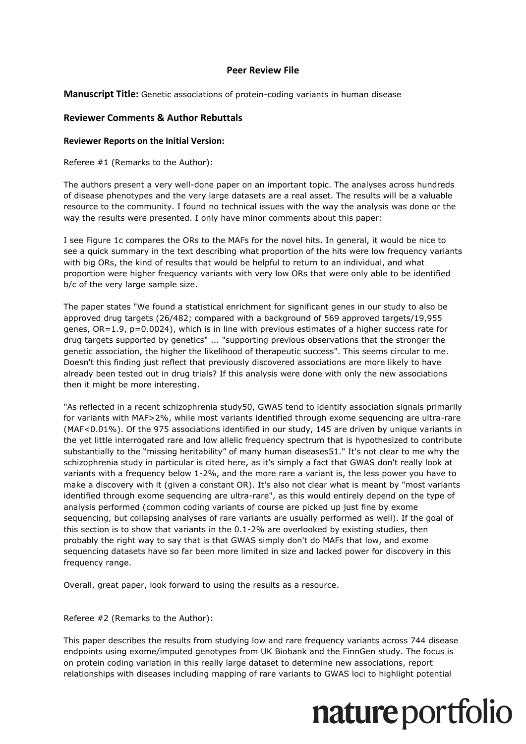#### **Peer Review File**

**Manuscript Title:** Genetic associations of protein-coding variants in human disease

#### **Reviewer Comments & Author Rebuttals**

#### **Reviewer Reports on the Initial Version:**

Referee #1 (Remarks to the Author):

The authors present a very well-done paper on an important topic. The analyses across hundreds of disease phenotypes and the very large datasets are a real asset. The results will be a valuable resource to the community. I found no technical issues with the way the analysis was done or the way the results were presented. I only have minor comments about this paper:

I see Figure 1c compares the ORs to the MAFs for the novel hits. In general, it would be nice to see a quick summary in the text describing what proportion of the hits were low frequency variants with big ORs, the kind of results that would be helpful to return to an individual, and what proportion were higher frequency variants with very low ORs that were only able to be identified b/c of the very large sample size.

The paper states "We found a statistical enrichment for significant genes in our study to also be approved drug targets (26/482; compared with a background of 569 approved targets/19,955 genes, OR=1.9, p=0.0024), which is in line with previous estimates of a higher success rate for drug targets supported by genetics" ... "supporting previous observations that the stronger the genetic association, the higher the likelihood of therapeutic success". This seems circular to me. Doesn't this finding just reflect that previously discovered associations are more likely to have already been tested out in drug trials? If this analysis were done with only the new associations then it might be more interesting.

"As reflected in a recent schizophrenia study50, GWAS tend to identify association signals primarily for variants with MAF>2%, while most variants identified through exome sequencing are ultra-rare (MAF<0.01%). Of the 975 associations identified in our study, 145 are driven by unique variants in the yet little interrogated rare and low allelic frequency spectrum that is hypothesized to contribute substantially to the "missing heritability" of many human diseases51." It's not clear to me why the schizophrenia study in particular is cited here, as it's simply a fact that GWAS don't really look at variants with a frequency below 1-2%, and the more rare a variant is, the less power you have to make a discovery with it (given a constant OR). It's also not clear what is meant by "most variants identified through exome sequencing are ultra-rare", as this would entirely depend on the type of analysis performed (common coding variants of course are picked up just fine by exome sequencing, but collapsing analyses of rare variants are usually performed as well). If the goal of this section is to show that variants in the 0.1-2% are overlooked by existing studies, then probably the right way to say that is that GWAS simply don't do MAFs that low, and exome sequencing datasets have so far been more limited in size and lacked power for discovery in this frequency range.

Overall, great paper, look forward to using the results as a resource.

Referee #2 (Remarks to the Author):

This paper describes the results from studying low and rare frequency variants across 744 disease endpoints using exome/imputed genotypes from UK Biobank and the FinnGen study. The focus is on protein coding variation in this really large dataset to determine new associations, report relationships with diseases including mapping of rare variants to GWAS loci to highlight potential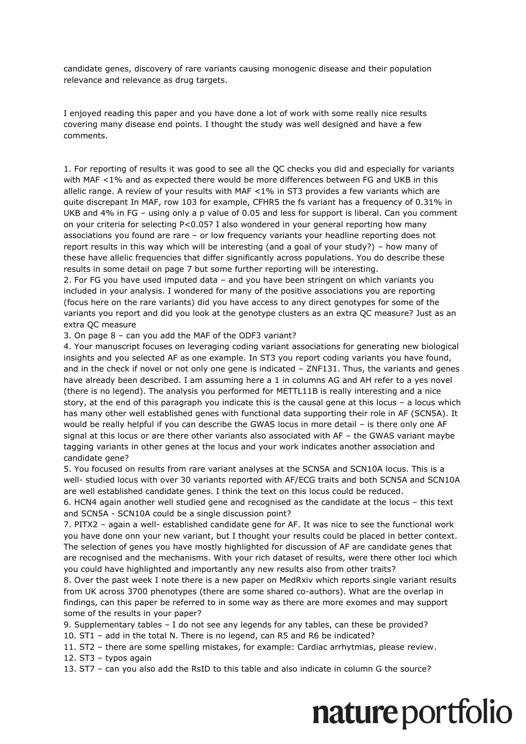candidate genes, discovery of rare variants causing monogenic disease and their population relevance and relevance as drug targets.

I enjoyed reading this paper and you have done a lot of work with some really nice results covering many disease end points. I thought the study was well designed and have a few comments.

1. For reporting of results it was good to see all the QC checks you did and especially for variants with MAF <1% and as expected there would be more differences between FG and UKB in this allelic range. A review of your results with MAF  $<$  1% in ST3 provides a few variants which are quite discrepant In MAF, row 103 for example, CFHR5 the fs variant has a frequency of 0.31% in UKB and 4% in FG – using only a p value of 0.05 and less for support is liberal. Can you comment on your criteria for selecting P<0.05? I also wondered in your general reporting how many associations you found are rare – or low frequency variants your headline reporting does not report results in this way which will be interesting (and a goal of your study?) – how many of these have allelic frequencies that differ significantly across populations. You do describe these results in some detail on page 7 but some further reporting will be interesting.

2. For FG you have used imputed data – and you have been stringent on which variants you included in your analysis. I wondered for many of the positive associations you are reporting (focus here on the rare variants) did you have access to any direct genotypes for some of the variants you report and did you look at the genotype clusters as an extra QC measure? Just as an extra QC measure

3. On page 8 – can you add the MAF of the ODF3 variant?

4. Your manuscript focuses on leveraging coding variant associations for generating new biological insights and you selected AF as one example. In ST3 you report coding variants you have found, and in the check if novel or not only one gene is indicated – ZNF131. Thus, the variants and genes have already been described. I am assuming here a 1 in columns AG and AH refer to a yes novel (there is no legend). The analysis you performed for METTL11B is really interesting and a nice story, at the end of this paragraph you indicate this is the causal gene at this locus – a locus which has many other well established genes with functional data supporting their role in AF (SCN5A). It would be really helpful if you can describe the GWAS locus in more detail – is there only one AF signal at this locus or are there other variants also associated with AF – the GWAS variant maybe tagging variants in other genes at the locus and your work indicates another association and candidate gene?

5. You focused on results from rare variant analyses at the SCN5A and SCN10A locus. This is a well- studied locus with over 30 variants reported with AF/ECG traits and both SCN5A and SCN10A are well established candidate genes. I think the text on this locus could be reduced.

6. HCN4 again another well studied gene and recognised as the candidate at the locus – this text and SCN5A - SCN10A could be a single discussion point?

7. PITX2 – again a well- established candidate gene for AF. It was nice to see the functional work you have done onn your new variant, but I thought your results could be placed in better context. The selection of genes you have mostly highlighted for discussion of AF are candidate genes that are recognised and the mechanisms. With your rich dataset of results, were there other loci which you could have highlighted and importantly any new results also from other traits?

8. Over the past week I note there is a new paper on MedRxiv which reports single variant results from UK across 3700 phenotypes (there are some shared co-authors). What are the overlap in findings, can this paper be referred to in some way as there are more exomes and may support some of the results in your paper?

9. Supplementary tables – I do not see any legends for any tables, can these be provided?

10. ST1 – add in the total N. There is no legend, can R5 and R6 be indicated?

11. ST2 – there are some spelling mistakes, for example: Cardiac arrhytmias, please review.

12. ST3 – typos again

13. ST7 – can you also add the RsID to this table and also indicate in column G the source?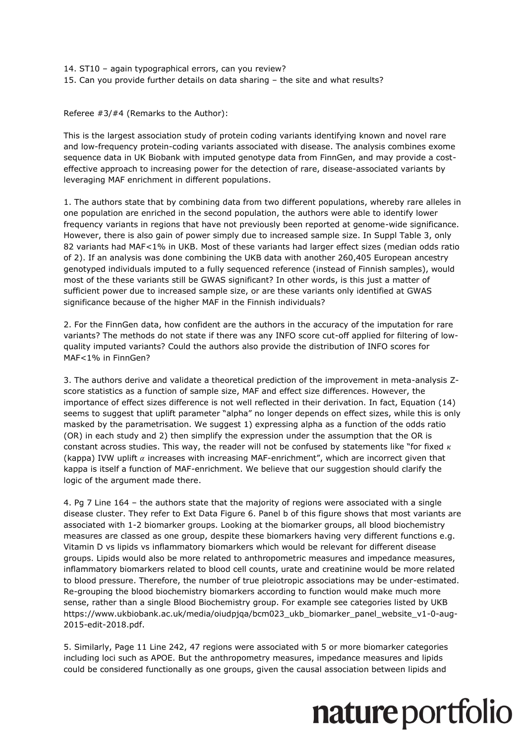14. ST10 – again typographical errors, can you review? 15. Can you provide further details on data sharing – the site and what results?

Referee #3/#4 (Remarks to the Author):

This is the largest association study of protein coding variants identifying known and novel rare and low-frequency protein-coding variants associated with disease. The analysis combines exome sequence data in UK Biobank with imputed genotype data from FinnGen, and may provide a costeffective approach to increasing power for the detection of rare, disease-associated variants by leveraging MAF enrichment in different populations.

1. The authors state that by combining data from two different populations, whereby rare alleles in one population are enriched in the second population, the authors were able to identify lower frequency variants in regions that have not previously been reported at genome-wide significance. However, there is also gain of power simply due to increased sample size. In Suppl Table 3, only 82 variants had MAF<1% in UKB. Most of these variants had larger effect sizes (median odds ratio of 2). If an analysis was done combining the UKB data with another 260,405 European ancestry genotyped individuals imputed to a fully sequenced reference (instead of Finnish samples), would most of the these variants still be GWAS significant? In other words, is this just a matter of sufficient power due to increased sample size, or are these variants only identified at GWAS significance because of the higher MAF in the Finnish individuals?

2. For the FinnGen data, how confident are the authors in the accuracy of the imputation for rare variants? The methods do not state if there was any INFO score cut-off applied for filtering of lowquality imputed variants? Could the authors also provide the distribution of INFO scores for MAF<1% in FinnGen?

3. The authors derive and validate a theoretical prediction of the improvement in meta-analysis Zscore statistics as a function of sample size, MAF and effect size differences. However, the importance of effect sizes difference is not well reflected in their derivation. In fact, Equation (14) seems to suggest that uplift parameter "alpha" no longer depends on effect sizes, while this is only masked by the parametrisation. We suggest 1) expressing alpha as a function of the odds ratio (OR) in each study and 2) then simplify the expression under the assumption that the OR is constant across studies. This way, the reader will not be confused by statements like "for fixed  $\kappa$ (kappa) IVW uplift  $\alpha$  increases with increasing MAF-enrichment", which are incorrect given that kappa is itself a function of MAF-enrichment. We believe that our suggestion should clarify the logic of the argument made there.

4. Pg 7 Line 164 – the authors state that the majority of regions were associated with a single disease cluster. They refer to Ext Data Figure 6. Panel b of this figure shows that most variants are associated with 1-2 biomarker groups. Looking at the biomarker groups, all blood biochemistry measures are classed as one group, despite these biomarkers having very different functions e.g. Vitamin D vs lipids vs inflammatory biomarkers which would be relevant for different disease groups. Lipids would also be more related to anthropometric measures and impedance measures, inflammatory biomarkers related to blood cell counts, urate and creatinine would be more related to blood pressure. Therefore, the number of true pleiotropic associations may be under-estimated. Re-grouping the blood biochemistry biomarkers according to function would make much more sense, rather than a single Blood Biochemistry group. For example see categories listed by UKB https://www.ukbiobank.ac.uk/media/oiudpjqa/bcm023\_ukb\_biomarker\_panel\_website\_v1-0-aug-2015-edit-2018.pdf.

5. Similarly, Page 11 Line 242, 47 regions were associated with 5 or more biomarker categories including loci such as APOE. But the anthropometry measures, impedance measures and lipids could be considered functionally as one groups, given the causal association between lipids and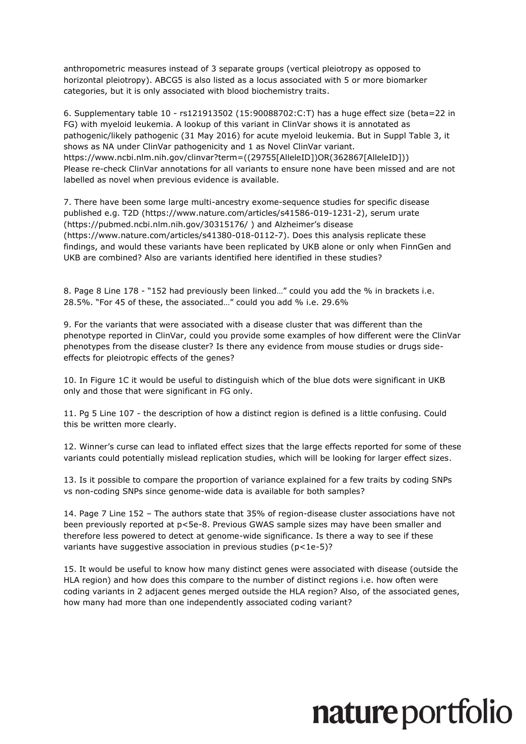anthropometric measures instead of 3 separate groups (vertical pleiotropy as opposed to horizontal pleiotropy). ABCG5 is also listed as a locus associated with 5 or more biomarker categories, but it is only associated with blood biochemistry traits.

6. Supplementary table 10 - rs121913502 (15:90088702:C:T) has a huge effect size (beta=22 in FG) with myeloid leukemia. A lookup of this variant in ClinVar shows it is annotated as pathogenic/likely pathogenic (31 May 2016) for acute myeloid leukemia. But in Suppl Table 3, it shows as NA under ClinVar pathogenicity and 1 as Novel ClinVar variant. https://www.ncbi.nlm.nih.gov/clinvar?term=((29755[AlleleID])OR(362867[AlleleID])) Please re-check ClinVar annotations for all variants to ensure none have been missed and are not labelled as novel when previous evidence is available.

7. There have been some large multi-ancestry exome-sequence studies for specific disease published e.g. T2D (https://www.nature.com/articles/s41586-019-1231-2), serum urate (https://pubmed.ncbi.nlm.nih.gov/30315176/ ) and Alzheimer's disease (https://www.nature.com/articles/s41380-018-0112-7). Does this analysis replicate these findings, and would these variants have been replicated by UKB alone or only when FinnGen and UKB are combined? Also are variants identified here identified in these studies?

8. Page 8 Line 178 - "152 had previously been linked…" could you add the % in brackets i.e. 28.5%. "For 45 of these, the associated…" could you add % i.e. 29.6%

9. For the variants that were associated with a disease cluster that was different than the phenotype reported in ClinVar, could you provide some examples of how different were the ClinVar phenotypes from the disease cluster? Is there any evidence from mouse studies or drugs sideeffects for pleiotropic effects of the genes?

10. In Figure 1C it would be useful to distinguish which of the blue dots were significant in UKB only and those that were significant in FG only.

11. Pg 5 Line 107 - the description of how a distinct region is defined is a little confusing. Could this be written more clearly.

12. Winner's curse can lead to inflated effect sizes that the large effects reported for some of these variants could potentially mislead replication studies, which will be looking for larger effect sizes.

13. Is it possible to compare the proportion of variance explained for a few traits by coding SNPs vs non-coding SNPs since genome-wide data is available for both samples?

14. Page 7 Line 152 – The authors state that 35% of region-disease cluster associations have not been previously reported at p<5e-8. Previous GWAS sample sizes may have been smaller and therefore less powered to detect at genome-wide significance. Is there a way to see if these variants have suggestive association in previous studies (p<1e-5)?

15. It would be useful to know how many distinct genes were associated with disease (outside the HLA region) and how does this compare to the number of distinct regions i.e. how often were coding variants in 2 adjacent genes merged outside the HLA region? Also, of the associated genes, how many had more than one independently associated coding variant?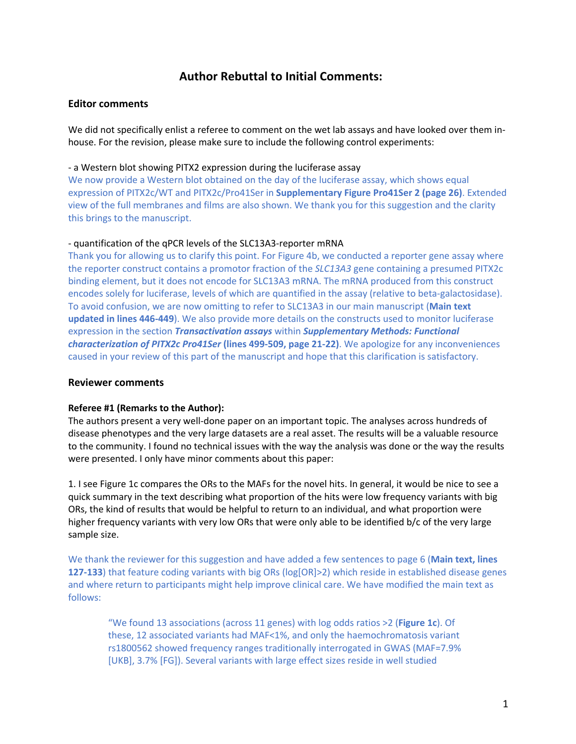### **Author Rebuttal to Initial Comments:**

#### **Editor comments**

We did not specifically enlist a referee to comment on the wet lab assays and have looked over them inhouse. For the revision, please make sure to include the following control experiments:

#### - a Western blot showing PITX2 expression during the luciferase assay

We now provide a Western blot obtained on the day of the luciferase assay, which shows equal expression of PITX2c/WT and PITX2c/Pro41Ser in **Supplementary Figure Pro41Ser 2 (page 26)**. Extended view of the full membranes and films are also shown. We thank you for this suggestion and the clarity this brings to the manuscript.

#### - quantification of the qPCR levels of the SLC13A3-reporter mRNA

Thank you for allowing us to clarify this point. For Figure 4b, we conducted a reporter gene assay where the reporter construct contains a promotor fraction of the *SLC13A3* gene containing a presumed PITX2c binding element, but it does not encode for SLC13A3 mRNA. The mRNA produced from this construct encodes solely for luciferase, levels of which are quantified in the assay (relative to beta-galactosidase). To avoid confusion, we are now omitting to refer to SLC13A3 in our main manuscript (**Main text updated in lines 446-449**). We also provide more details on the constructs used to monitor luciferase expression in the section *Transactivation assays* within *Supplementary Methods: Functional characterization of PITX2c Pro41Ser* **(lines 499-509, page 21-22)**. We apologize for any inconveniences caused in your review of this part of the manuscript and hope that this clarification is satisfactory.

#### **Reviewer comments**

#### **Referee #1 (Remarks to the Author):**

The authors present a very well-done paper on an important topic. The analyses across hundreds of disease phenotypes and the very large datasets are a real asset. The results will be a valuable resource to the community. I found no technical issues with the way the analysis was done or the way the results were presented. I only have minor comments about this paper:

1. I see Figure 1c compares the ORs to the MAFs for the novel hits. In general, it would be nice to see a quick summary in the text describing what proportion of the hits were low frequency variants with big ORs, the kind of results that would be helpful to return to an individual, and what proportion were higher frequency variants with very low ORs that were only able to be identified b/c of the very large sample size.

We thank the reviewer for this suggestion and have added a few sentences to page 6 (**Main text, lines 127-133**) that feature coding variants with big ORs (log[OR]>2) which reside in established disease genes and where return to participants might help improve clinical care. We have modified the main text as follows:

"We found 13 associations (across 11 genes) with log odds ratios >2 (**Figure 1c**). Of these, 12 associated variants had MAF<1%, and only the haemochromatosis variant rs1800562 showed frequency ranges traditionally interrogated in GWAS (MAF=7.9% [UKB], 3.7% [FG]). Several variants with large effect sizes reside in well studied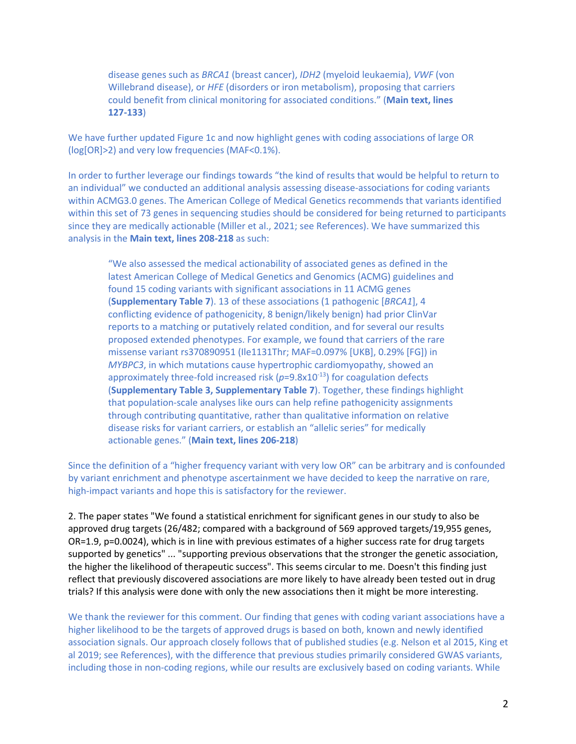disease genes such as *BRCA1* (breast cancer), *IDH2* (myeloid leukaemia), *VWF* (von Willebrand disease), or *HFE* (disorders or iron metabolism), proposing that carriers could benefit from clinical monitoring for associated conditions." (**Main text, lines 127-133**)

We have further updated Figure 1c and now highlight genes with coding associations of large OR (log[OR]>2) and very low frequencies (MAF<0.1%).

In order to further leverage our findings towards "the kind of results that would be helpful to return to an individual" we conducted an additional analysis assessing disease-associations for coding variants within ACMG3.0 genes. The American College of Medical Genetics recommends that variants identified within this set of 73 genes in sequencing studies should be considered for being returned to participants since they are medically actionable (Miller et al., 2021; see References). We have summarized this analysis in the **Main text, lines 208-218** as such:

"We also assessed the medical actionability of associated genes as defined in the latest American College of Medical Genetics and Genomics (ACMG) guidelines and found 15 coding variants with significant associations in 11 ACMG genes (**Supplementary Table 7**). 13 of these associations (1 pathogenic [*BRCA1*], 4 conflicting evidence of pathogenicity, 8 benign/likely benign) had prior ClinVar reports to a matching or putatively related condition, and for several our results proposed extended phenotypes. For example, we found that carriers of the rare missense variant rs370890951 (Ile1131Thr; MAF=0.097% [UKB], 0.29% [FG]) in *MYBPC3*, in which mutations cause hypertrophic cardiomyopathy, showed an approximately three-fold increased risk  $(p=9.8x10^{-13})$  for coagulation defects (**Supplementary Table 3, Supplementary Table 7**). Together, these findings highlight that population-scale analyses like ours can help refine pathogenicity assignments through contributing quantitative, rather than qualitative information on relative disease risks for variant carriers, or establish an "allelic series" for medically actionable genes." (**Main text, lines 206-218**)

Since the definition of a "higher frequency variant with very low OR" can be arbitrary and is confounded by variant enrichment and phenotype ascertainment we have decided to keep the narrative on rare, high-impact variants and hope this is satisfactory for the reviewer.

2. The paper states "We found a statistical enrichment for significant genes in our study to also be approved drug targets (26/482; compared with a background of 569 approved targets/19,955 genes, OR=1.9, p=0.0024), which is in line with previous estimates of a higher success rate for drug targets supported by genetics" ... "supporting previous observations that the stronger the genetic association, the higher the likelihood of therapeutic success". This seems circular to me. Doesn't this finding just reflect that previously discovered associations are more likely to have already been tested out in drug trials? If this analysis were done with only the new associations then it might be more interesting.

We thank the reviewer for this comment. Our finding that genes with coding variant associations have a higher likelihood to be the targets of approved drugs is based on both, known and newly identified association signals. Our approach closely follows that of published studies (e.g. Nelson et al 2015, King et al 2019; see References), with the difference that previous studies primarily considered GWAS variants, including those in non-coding regions, while our results are exclusively based on coding variants. While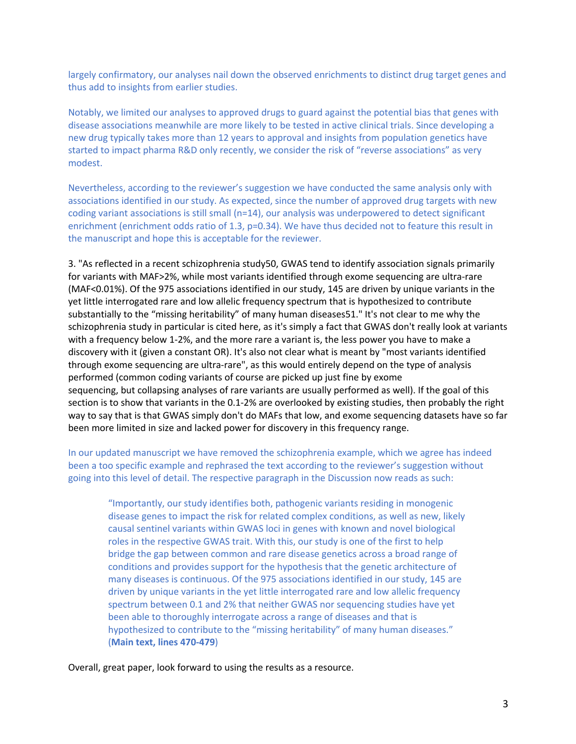largely confirmatory, our analyses nail down the observed enrichments to distinct drug target genes and thus add to insights from earlier studies.

Notably, we limited our analyses to approved drugs to guard against the potential bias that genes with disease associations meanwhile are more likely to be tested in active clinical trials. Since developing a new drug typically takes more than 12 years to approval and insights from population genetics have started to impact pharma R&D only recently, we consider the risk of "reverse associations" as very modest.

Nevertheless, according to the reviewer's suggestion we have conducted the same analysis only with associations identified in our study. As expected, since the number of approved drug targets with new coding variant associations is still small (n=14), our analysis was underpowered to detect significant enrichment (enrichment odds ratio of 1.3, p=0.34). We have thus decided not to feature this result in the manuscript and hope this is acceptable for the reviewer.

3. "As reflected in a recent schizophrenia study50, GWAS tend to identify association signals primarily for variants with MAF>2%, while most variants identified through exome sequencing are ultra-rare (MAF<0.01%). Of the 975 associations identified in our study, 145 are driven by unique variants in the yet little interrogated rare and low allelic frequency spectrum that is hypothesized to contribute substantially to the "missing heritability" of many human diseases51." It's not clear to me why the schizophrenia study in particular is cited here, as it's simply a fact that GWAS don't really look at variants with a frequency below 1-2%, and the more rare a variant is, the less power you have to make a discovery with it (given a constant OR). It's also not clear what is meant by "most variants identified through exome sequencing are ultra-rare", as this would entirely depend on the type of analysis performed (common coding variants of course are picked up just fine by exome sequencing, but collapsing analyses of rare variants are usually performed as well). If the goal of this section is to show that variants in the 0.1-2% are overlooked by existing studies, then probably the right way to say that is that GWAS simply don't do MAFs that low, and exome sequencing datasets have so far been more limited in size and lacked power for discovery in this frequency range.

In our updated manuscript we have removed the schizophrenia example, which we agree has indeed been a too specific example and rephrased the text according to the reviewer's suggestion without going into this level of detail. The respective paragraph in the Discussion now reads as such:

"Importantly, our study identifies both, pathogenic variants residing in monogenic disease genes to impact the risk for related complex conditions, as well as new, likely causal sentinel variants within GWAS loci in genes with known and novel biological roles in the respective GWAS trait. With this, our study is one of the first to help bridge the gap between common and rare disease genetics across a broad range of conditions and provides support for the hypothesis that the genetic architecture of many diseases is continuous. Of the 975 associations identified in our study, 145 are driven by unique variants in the yet little interrogated rare and low allelic frequency spectrum between 0.1 and 2% that neither GWAS nor sequencing studies have yet been able to thoroughly interrogate across a range of diseases and that is hypothesized to contribute to the "missing heritability" of many human diseases." (**Main text, lines 470-479**)

Overall, great paper, look forward to using the results as a resource.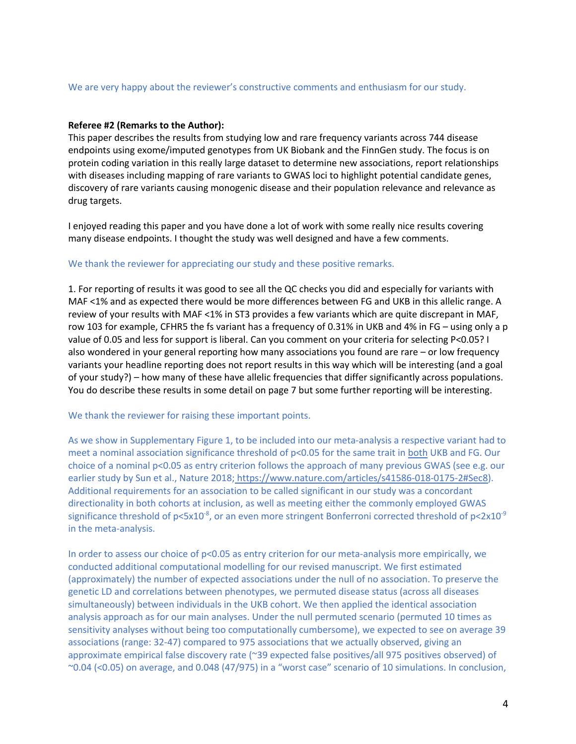#### We are very happy about the reviewer's constructive comments and enthusiasm for our study.

#### **Referee #2 (Remarks to the Author):**

This paper describes the results from studying low and rare frequency variants across 744 disease endpoints using exome/imputed genotypes from UK Biobank and the FinnGen study. The focus is on protein coding variation in this really large dataset to determine new associations, report relationships with diseases including mapping of rare variants to GWAS loci to highlight potential candidate genes, discovery of rare variants causing monogenic disease and their population relevance and relevance as drug targets.

I enjoyed reading this paper and you have done a lot of work with some really nice results covering many disease endpoints. I thought the study was well designed and have a few comments.

#### We thank the reviewer for appreciating our study and these positive remarks.

1. For reporting of results it was good to see all the QC checks you did and especially for variants with MAF <1% and as expected there would be more differences between FG and UKB in this allelic range. A review of your results with MAF <1% in ST3 provides a few variants which are quite discrepant in MAF, row 103 for example, CFHR5 the fs variant has a frequency of 0.31% in UKB and 4% in FG – using only a p value of 0.05 and less for support is liberal. Can you comment on your criteria for selecting P<0.05? I also wondered in your general reporting how many associations you found are rare – or low frequency variants your headline reporting does not report results in this way which will be interesting (and a goal of your study?) – how many of these have allelic frequencies that differ significantly across populations. You do describe these results in some detail on page 7 but some further reporting will be interesting.

#### We thank the reviewer for raising these important points.

As we show in Supplementary Figure 1, to be included into our meta-analysis a respective variant had to meet a nominal association significance threshold of p<0.05 for the same trait in both UKB and FG. Our choice of a nominal p<0.05 as entry criterion follows the approach of many previous GWAS (see e.g. our earlier study by Sun et al., Nature 2018; https://www.nature.com/articles/s41586-018-0175-2#Sec8). Additional requirements for an association to be called significant in our study was a concordant directionality in both cohorts at inclusion, as well as meeting either the commonly employed GWAS significance threshold of p<5x10<sup>-8</sup>, or an even more stringent Bonferroni corrected threshold of p<2x10<sup>-9</sup> in the meta-analysis.

In order to assess our choice of p<0.05 as entry criterion for our meta-analysis more empirically, we conducted additional computational modelling for our revised manuscript. We first estimated (approximately) the number of expected associations under the null of no association. To preserve the genetic LD and correlations between phenotypes, we permuted disease status (across all diseases simultaneously) between individuals in the UKB cohort. We then applied the identical association analysis approach as for our main analyses. Under the null permuted scenario (permuted 10 times as sensitivity analyses without being too computationally cumbersome), we expected to see on average 39 associations (range: 32-47) compared to 975 associations that we actually observed, giving an approximate empirical false discovery rate (~39 expected false positives/all 975 positives observed) of ~0.04 (<0.05) on average, and 0.048 (47/975) in a "worst case" scenario of 10 simulations. In conclusion,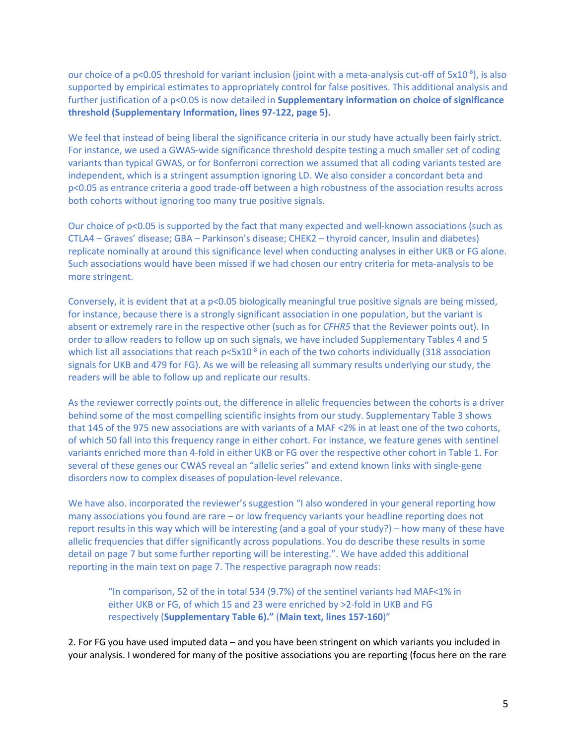our choice of a p<0.05 threshold for variant inclusion (joint with a meta-analysis cut-off of 5x10<sup>-8</sup>), is also supported by empirical estimates to appropriately control for false positives. This additional analysis and further justification of a p<0.05 is now detailed in **Supplementary information on choice of significance threshold (Supplementary Information, lines 97-122, page 5).**

We feel that instead of being liberal the significance criteria in our study have actually been fairly strict. For instance, we used a GWAS-wide significance threshold despite testing a much smaller set of coding variants than typical GWAS, or for Bonferroni correction we assumed that all coding variants tested are independent, which is a stringent assumption ignoring LD. We also consider a concordant beta and p<0.05 as entrance criteria a good trade-off between a high robustness of the association results across both cohorts without ignoring too many true positive signals.

Our choice of  $p<0.05$  is supported by the fact that many expected and well-known associations (such as CTLA4 – Graves' disease; GBA – Parkinson's disease; CHEK2 – thyroid cancer, Insulin and diabetes) replicate nominally at around this significance level when conducting analyses in either UKB or FG alone. Such associations would have been missed if we had chosen our entry criteria for meta-analysis to be more stringent.

Conversely, it is evident that at a p<0.05 biologically meaningful true positive signals are being missed, for instance, because there is a strongly significant association in one population, but the variant is absent or extremely rare in the respective other (such as for *CFHR5* that the Reviewer points out). In order to allow readers to follow up on such signals, we have included Supplementary Tables 4 and 5 which list all associations that reach  $p<5x10^{-8}$  in each of the two cohorts individually (318 association signals for UKB and 479 for FG). As we will be releasing all summary results underlying our study, the readers will be able to follow up and replicate our results.

As the reviewer correctly points out, the difference in allelic frequencies between the cohorts is a driver behind some of the most compelling scientific insights from our study. Supplementary Table 3 shows that 145 of the 975 new associations are with variants of a MAF <2% in at least one of the two cohorts, of which 50 fall into this frequency range in either cohort. For instance, we feature genes with sentinel variants enriched more than 4-fold in either UKB or FG over the respective other cohort in Table 1. For several of these genes our CWAS reveal an "allelic series" and extend known links with single-gene disorders now to complex diseases of population-level relevance.

We have also, incorporated the reviewer's suggestion "I also wondered in your general reporting how many associations you found are rare – or low frequency variants your headline reporting does not report results in this way which will be interesting (and a goal of your study?) – how many of these have allelic frequencies that differ significantly across populations. You do describe these results in some detail on page 7 but some further reporting will be interesting.". We have added this additional reporting in the main text on page 7. The respective paragraph now reads:

"In comparison, 52 of the in total 534 (9.7%) of the sentinel variants had MAF<1% in either UKB or FG, of which 15 and 23 were enriched by >2-fold in UKB and FG respectively (**Supplementary Table 6)."** (**Main text, lines 157-160**)"

2. For FG you have used imputed data – and you have been stringent on which variants you included in your analysis. I wondered for many of the positive associations you are reporting (focus here on the rare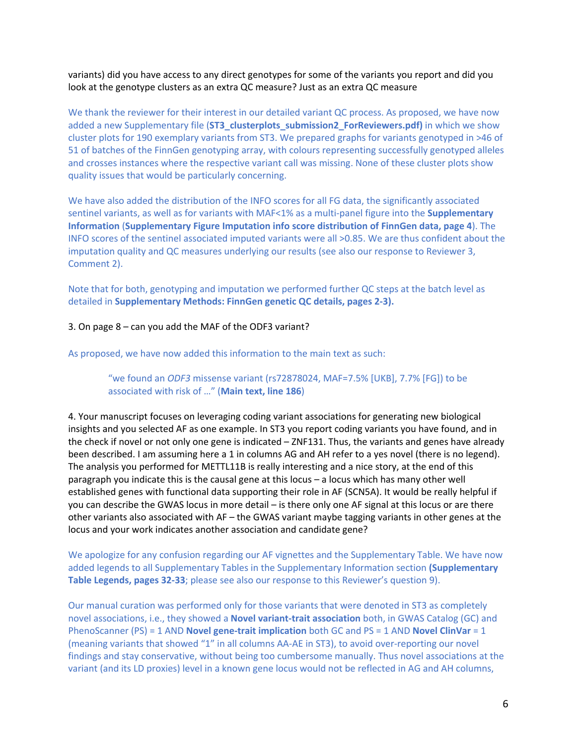variants) did you have access to any direct genotypes for some of the variants you report and did you look at the genotype clusters as an extra QC measure? Just as an extra QC measure

We thank the reviewer for their interest in our detailed variant QC process. As proposed, we have now added a new Supplementary file (**ST3\_clusterplots\_submission2\_ForReviewers.pdf)** in which we show cluster plots for 190 exemplary variants from ST3. We prepared graphs for variants genotyped in >46 of 51 of batches of the FinnGen genotyping array, with colours representing successfully genotyped alleles and crosses instances where the respective variant call was missing. None of these cluster plots show quality issues that would be particularly concerning.

We have also added the distribution of the INFO scores for all FG data, the significantly associated sentinel variants, as well as for variants with MAF<1% as a multi-panel figure into the **Supplementary Information** (**Supplementary Figure Imputation info score distribution of FinnGen data, page 4**). The INFO scores of the sentinel associated imputed variants were all >0.85. We are thus confident about the imputation quality and QC measures underlying our results (see also our response to Reviewer 3, Comment 2).

Note that for both, genotyping and imputation we performed further QC steps at the batch level as detailed in **Supplementary Methods: FinnGen genetic QC details, pages 2-3).**

#### 3. On page 8 – can you add the MAF of the ODF3 variant?

As proposed, we have now added this information to the main text as such:

#### "we found an *ODF3* missense variant (rs72878024, MAF=7.5% [UKB], 7.7% [FG]) to be associated with risk of …" (**Main text, line 186**)

4. Your manuscript focuses on leveraging coding variant associations for generating new biological insights and you selected AF as one example. In ST3 you report coding variants you have found, and in the check if novel or not only one gene is indicated – ZNF131. Thus, the variants and genes have already been described. I am assuming here a 1 in columns AG and AH refer to a yes novel (there is no legend). The analysis you performed for METTL11B is really interesting and a nice story, at the end of this paragraph you indicate this is the causal gene at this locus – a locus which has many other well established genes with functional data supporting their role in AF (SCN5A). It would be really helpful if you can describe the GWAS locus in more detail – is there only one AF signal at this locus or are there other variants also associated with AF – the GWAS variant maybe tagging variants in other genes at the locus and your work indicates another association and candidate gene?

We apologize for any confusion regarding our AF vignettes and the Supplementary Table. We have now added legends to all Supplementary Tables in the Supplementary Information section **(Supplementary Table Legends, pages 32-33**; please see also our response to this Reviewer's question 9).

Our manual curation was performed only for those variants that were denoted in ST3 as completely novel associations, i.e., they showed a **Novel variant-trait association** both, in GWAS Catalog (GC) and PhenoScanner (PS) = 1 AND **Novel gene-trait implication** both GC and PS = 1 AND **Novel ClinVar** = 1 (meaning variants that showed "1" in all columns AA-AE in ST3), to avoid over-reporting our novel findings and stay conservative, without being too cumbersome manually. Thus novel associations at the variant (and its LD proxies) level in a known gene locus would not be reflected in AG and AH columns,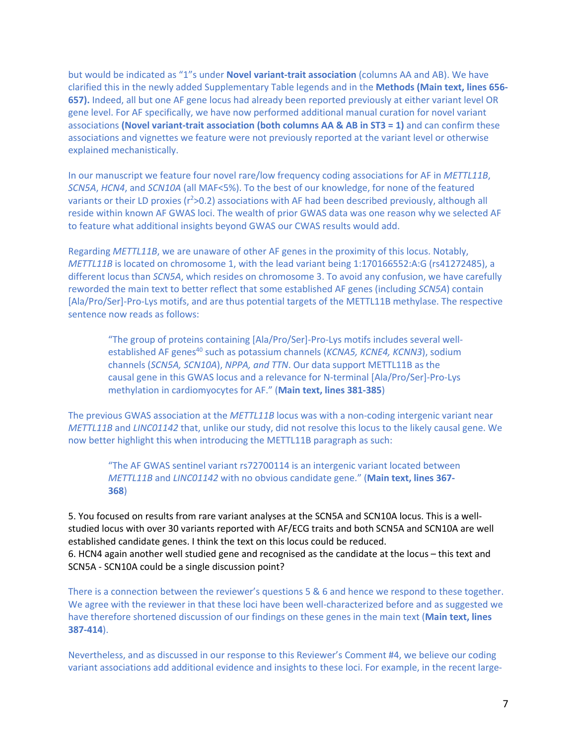but would be indicated as "1"s under **Novel variant-trait association** (columns AA and AB). We have clarified this in the newly added Supplementary Table legends and in the **Methods (Main text, lines 656- 657).** Indeed, all but one AF gene locus had already been reported previously at either variant level OR gene level. For AF specifically, we have now performed additional manual curation for novel variant associations **(Novel variant-trait association (both columns AA & AB in ST3 = 1)** and can confirm these associations and vignettes we feature were not previously reported at the variant level or otherwise explained mechanistically.

In our manuscript we feature four novel rare/low frequency coding associations for AF in *METTL11B*, *SCN5A*, *HCN4*, and *SCN10A* (all MAF<5%). To the best of our knowledge, for none of the featured variants or their LD proxies (r<sup>2</sup>>0.2) associations with AF had been described previously, although all reside within known AF GWAS loci. The wealth of prior GWAS data was one reason why we selected AF to feature what additional insights beyond GWAS our CWAS results would add.

Regarding *METTL11B*, we are unaware of other AF genes in the proximity of this locus. Notably, *METTL11B* is located on chromosome 1, with the lead variant being 1:170166552:A:G (rs41272485), a different locus than *SCN5A*, which resides on chromosome 3. To avoid any confusion, we have carefully reworded the main text to better reflect that some established AF genes (including *SCN5A*) contain [Ala/Pro/Ser]-Pro-Lys motifs, and are thus potential targets of the METTL11B methylase. The respective sentence now reads as follows:

"The group of proteins containing [Ala/Pro/Ser]-Pro-Lys motifs includes several wellestablished AF genes<sup>40</sup> such as potassium channels (*KCNA5, KCNE4, KCNN3*), sodium channels (*SCN5A, SCN10A*), *NPPA, and TTN*. Our data support METTL11B as the causal gene in this GWAS locus and a relevance for N-terminal [Ala/Pro/Ser]-Pro-Lys methylation in cardiomyocytes for AF." (**Main text, lines 381-385**)

The previous GWAS association at the *METTL11B* locus was with a non-coding intergenic variant near *METTL11B* and *LINC01142* that, unlike our study, did not resolve this locus to the likely causal gene. We now better highlight this when introducing the METTL11B paragraph as such:

"The AF GWAS sentinel variant rs72700114 is an intergenic variant located between *METTL11B* and *LINC01142* with no obvious candidate gene." (**Main text, lines 367- 368**)

5. You focused on results from rare variant analyses at the SCN5A and SCN10A locus. This is a wellstudied locus with over 30 variants reported with AF/ECG traits and both SCN5A and SCN10A are well established candidate genes. I think the text on this locus could be reduced. 6. HCN4 again another well studied gene and recognised as the candidate at the locus – this text and

SCN5A - SCN10A could be a single discussion point?

There is a connection between the reviewer's questions 5 & 6 and hence we respond to these together. We agree with the reviewer in that these loci have been well-characterized before and as suggested we have therefore shortened discussion of our findings on these genes in the main text (**Main text, lines 387-414**).

Nevertheless, and as discussed in our response to this Reviewer's Comment #4, we believe our coding variant associations add additional evidence and insights to these loci. For example, in the recent large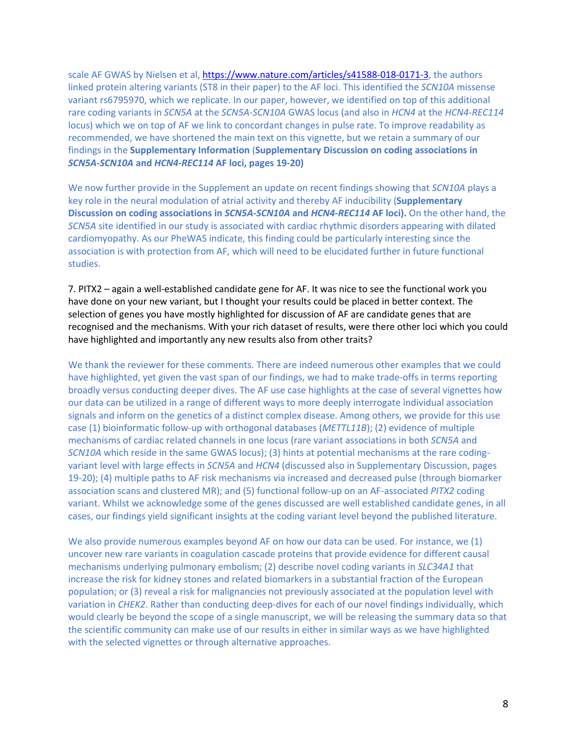scale AF GWAS by Nielsen et al, https://www.nature.com/articles/s41588-018-0171-3, the authors linked protein altering variants (ST8 in their paper) to the AF loci. This identified the *SCN10A* missense variant rs6795970, which we replicate. In our paper, however, we identified on top of this additional rare coding variants in *SCN5A* at the *SCN5A*-*SCN10A* GWAS locus (and also in *HCN4* at the *HCN4-REC114* locus) which we on top of AF we link to concordant changes in pulse rate. To improve readability as recommended, we have shortened the main text on this vignette, but we retain a summary of our findings in the **Supplementary Information** (**Supplementary Discussion on coding associations in**  *SCN5A-SCN10A* **and** *HCN4-REC114* **AF loci, pages 19-20)**

We now further provide in the Supplement an update on recent findings showing that *SCN10A* plays a key role in the neural modulation of atrial activity and thereby AF inducibility (**Supplementary Discussion on coding associations in** *SCN5A-SCN10A* **and** *HCN4-REC114* **AF loci).** On the other hand, the *SCN5A* site identified in our study is associated with cardiac rhythmic disorders appearing with dilated cardiomyopathy. As our PheWAS indicate, this finding could be particularly interesting since the association is with protection from AF, which will need to be elucidated further in future functional studies.

7. PITX2 – again a well-established candidate gene for AF. It was nice to see the functional work you have done on your new variant, but I thought your results could be placed in better context. The selection of genes you have mostly highlighted for discussion of AF are candidate genes that are recognised and the mechanisms. With your rich dataset of results, were there other loci which you could have highlighted and importantly any new results also from other traits?

We thank the reviewer for these comments. There are indeed numerous other examples that we could have highlighted, yet given the vast span of our findings, we had to make trade-offs in terms reporting broadly versus conducting deeper dives. The AF use case highlights at the case of several vignettes how our data can be utilized in a range of different ways to more deeply interrogate individual association signals and inform on the genetics of a distinct complex disease. Among others, we provide for this use case (1) bioinformatic follow-up with orthogonal databases (*METTL11B*); (2) evidence of multiple mechanisms of cardiac related channels in one locus (rare variant associations in both *SCN5A* and *SCN10A* which reside in the same GWAS locus); (3) hints at potential mechanisms at the rare codingvariant level with large effects in *SCN5A* and *HCN4* (discussed also in Supplementary Discussion, pages 19-20); (4) multiple paths to AF risk mechanisms via increased and decreased pulse (through biomarker association scans and clustered MR); and (5) functional follow-up on an AF-associated *PITX2* coding variant. Whilst we acknowledge some of the genes discussed are well established candidate genes, in all cases, our findings yield significant insights at the coding variant level beyond the published literature.

We also provide numerous examples beyond AF on how our data can be used. For instance, we (1) uncover new rare variants in coagulation cascade proteins that provide evidence for different causal mechanisms underlying pulmonary embolism; (2) describe novel coding variants in *SLC34A1* that increase the risk for kidney stones and related biomarkers in a substantial fraction of the European population; or (3) reveal a risk for malignancies not previously associated at the population level with variation in *CHEK2*. Rather than conducting deep-dives for each of our novel findings individually, which would clearly be beyond the scope of a single manuscript, we will be releasing the summary data so that the scientific community can make use of our results in either in similar ways as we have highlighted with the selected vignettes or through alternative approaches.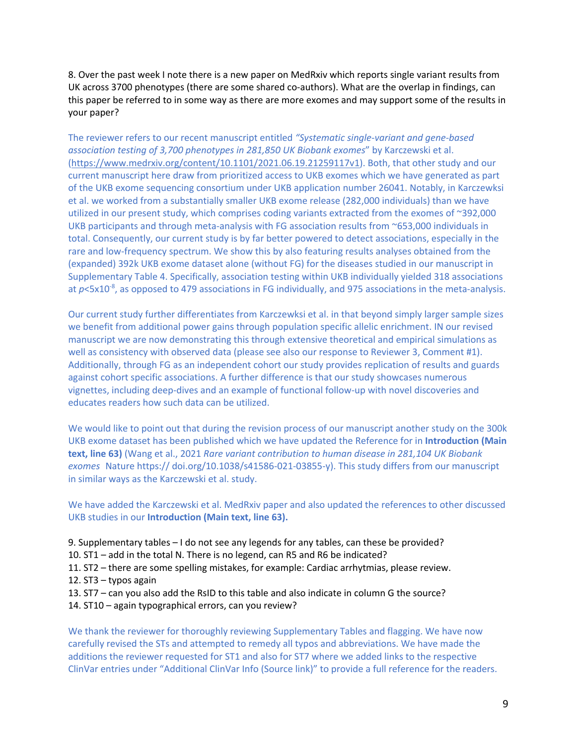8. Over the past week I note there is a new paper on MedRxiv which reports single variant results from UK across 3700 phenotypes (there are some shared co-authors). What are the overlap in findings, can this paper be referred to in some way as there are more exomes and may support some of the results in your paper?

The reviewer refers to our recent manuscript entitled *"Systematic single-variant and gene-based association testing of 3,700 phenotypes in 281,850 UK Biobank exomes*" by Karczewski et al. (https://www.medrxiv.org/content/10.1101/2021.06.19.21259117v1). Both, that other study and our current manuscript here draw from prioritized access to UKB exomes which we have generated as part of the UKB exome sequencing consortium under UKB application number 26041. Notably, in Karczewksi et al. we worked from a substantially smaller UKB exome release (282,000 individuals) than we have utilized in our present study, which comprises coding variants extracted from the exomes of ~392,000 UKB participants and through meta-analysis with FG association results from ~653,000 individuals in total. Consequently, our current study is by far better powered to detect associations, especially in the rare and low-frequency spectrum. We show this by also featuring results analyses obtained from the (expanded) 392k UKB exome dataset alone (without FG) for the diseases studied in our manuscript in Supplementary Table 4. Specifically, association testing within UKB individually yielded 318 associations at  $p$ <5x10<sup>-8</sup>, as opposed to 479 associations in FG individually, and 975 associations in the meta-analysis.

Our current study further differentiates from Karczewksi et al. in that beyond simply larger sample sizes we benefit from additional power gains through population specific allelic enrichment. IN our revised manuscript we are now demonstrating this through extensive theoretical and empirical simulations as well as consistency with observed data (please see also our response to Reviewer 3, Comment #1). Additionally, through FG as an independent cohort our study provides replication of results and guards against cohort specific associations. A further difference is that our study showcases numerous vignettes, including deep-dives and an example of functional follow-up with novel discoveries and educates readers how such data can be utilized.

We would like to point out that during the revision process of our manuscript another study on the 300k UKB exome dataset has been published which we have updated the Reference for in **Introduction (Main text, line 63)** (Wang et al., 2021 *Rare variant contribution to human disease in 281,104 UK Biobank exomes* Nature https:// doi.org/10.1038/s41586-021-03855-y). This study differs from our manuscript in similar ways as the Karczewski et al. study.

We have added the Karczewski et al. MedRxiv paper and also updated the references to other discussed UKB studies in our **Introduction (Main text, line 63).**

- 9. Supplementary tables I do not see any legends for any tables, can these be provided?
- 10. ST1 add in the total N. There is no legend, can R5 and R6 be indicated?
- 11. ST2 there are some spelling mistakes, for example: Cardiac arrhytmias, please review.
- 12. ST3 typos again
- 13. ST7 can you also add the RsID to this table and also indicate in column G the source?
- 14. ST10 again typographical errors, can you review?

We thank the reviewer for thoroughly reviewing Supplementary Tables and flagging. We have now carefully revised the STs and attempted to remedy all typos and abbreviations. We have made the additions the reviewer requested for ST1 and also for ST7 where we added links to the respective ClinVar entries under "Additional ClinVar Info (Source link)" to provide a full reference for the readers.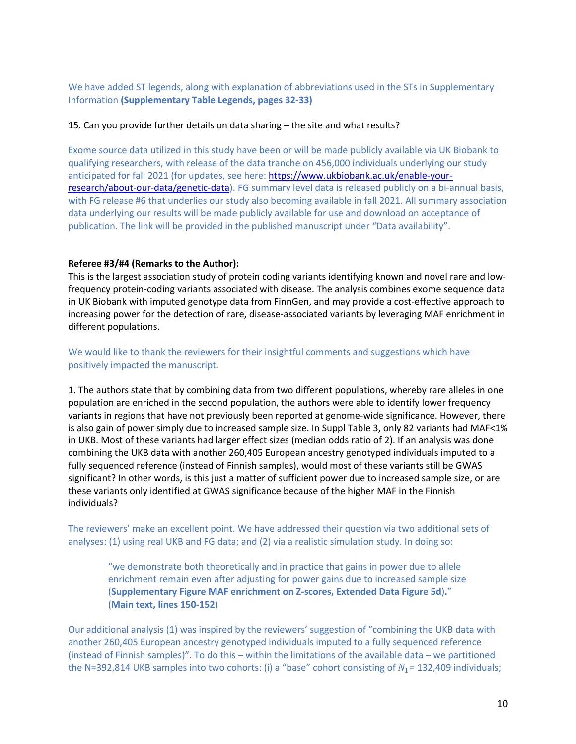We have added ST legends, along with explanation of abbreviations used in the STs in Supplementary Information **(Supplementary Table Legends, pages 32-33)**

#### 15. Can you provide further details on data sharing – the site and what results?

Exome source data utilized in this study have been or will be made publicly available via UK Biobank to qualifying researchers, with release of the data tranche on 456,000 individuals underlying our study anticipated for fall 2021 (for updates, see here: https://www.ukbiobank.ac.uk/enable-yourresearch/about-our-data/genetic-data). FG summary level data is released publicly on a bi-annual basis, with FG release #6 that underlies our study also becoming available in fall 2021. All summary association data underlying our results will be made publicly available for use and download on acceptance of publication. The link will be provided in the published manuscript under "Data availability".

#### **Referee #3/#4 (Remarks to the Author):**

This is the largest association study of protein coding variants identifying known and novel rare and lowfrequency protein-coding variants associated with disease. The analysis combines exome sequence data in UK Biobank with imputed genotype data from FinnGen, and may provide a cost-effective approach to increasing power for the detection of rare, disease-associated variants by leveraging MAF enrichment in different populations.

#### We would like to thank the reviewers for their insightful comments and suggestions which have positively impacted the manuscript.

1. The authors state that by combining data from two different populations, whereby rare alleles in one population are enriched in the second population, the authors were able to identify lower frequency variants in regions that have not previously been reported at genome-wide significance. However, there is also gain of power simply due to increased sample size. In Suppl Table 3, only 82 variants had MAF<1% in UKB. Most of these variants had larger effect sizes (median odds ratio of 2). If an analysis was done combining the UKB data with another 260,405 European ancestry genotyped individuals imputed to a fully sequenced reference (instead of Finnish samples), would most of these variants still be GWAS significant? In other words, is this just a matter of sufficient power due to increased sample size, or are these variants only identified at GWAS significance because of the higher MAF in the Finnish individuals?

The reviewers' make an excellent point. We have addressed their question via two additional sets of analyses: (1) using real UKB and FG data; and (2) via a realistic simulation study. In doing so:

"we demonstrate both theoretically and in practice that gains in power due to allele enrichment remain even after adjusting for power gains due to increased sample size (**Supplementary Figure MAF enrichment on Z-scores, Extended Data Figure 5d**)**.**" (**Main text, lines 150-152**)

Our additional analysis (1) was inspired by the reviewers' suggestion of "combining the UKB data with another 260,405 European ancestry genotyped individuals imputed to a fully sequenced reference (instead of Finnish samples)". To do this – within the limitations of the available data – we partitioned the N=392,814 UKB samples into two cohorts: (i) a "base" cohort consisting of  $N_1$ = 132,409 individuals;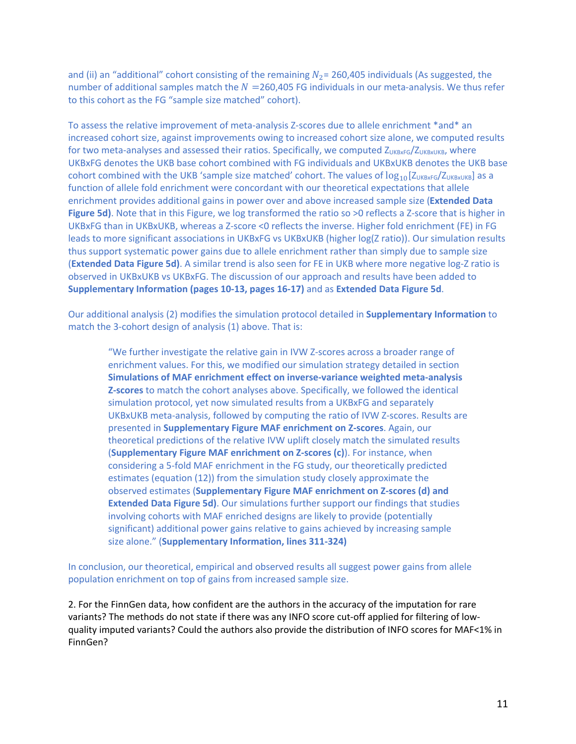and (ii) an "additional" cohort consisting of the remaining  $N_2$  = 260,405 individuals (As suggested, the number of additional samples match the  $N = 260,405$  FG individuals in our meta-analysis. We thus refer to this cohort as the FG "sample size matched" cohort).

To assess the relative improvement of meta-analysis Z-scores due to allele enrichment \*and\* an increased cohort size, against improvements owing to increased cohort size alone, we computed results for two meta-analyses and assessed their ratios. Specifically, we computed ZUKBXFG/ZUKBXUKB, where UKBxFG denotes the UKB base cohort combined with FG individuals and UKBxUKB denotes the UKB base cohort combined with the UKB 'sample size matched' cohort. The values of  $log_{10}[Z_{URBKEG}/Z_{URBKURB}]$  as a function of allele fold enrichment were concordant with our theoretical expectations that allele enrichment provides additional gains in power over and above increased sample size (**Extended Data Figure 5d)**. Note that in this Figure, we log transformed the ratio so  $>0$  reflects a Z-score that is higher in UKBxFG than in UKBxUKB, whereas a Z-score <0 reflects the inverse. Higher fold enrichment (FE) in FG leads to more significant associations in UKBxFG vs UKBxUKB (higher log(Z ratio)). Our simulation results thus support systematic power gains due to allele enrichment rather than simply due to sample size (**Extended Data Figure 5d)**. A similar trend is also seen for FE in UKB where more negative log-Z ratio is observed in UKBxUKB vs UKBxFG. The discussion of our approach and results have been added to **Supplementary Information (pages 10-13, pages 16-17)** and as **Extended Data Figure 5d**.

Our additional analysis (2) modifies the simulation protocol detailed in **Supplementary Information** to match the 3-cohort design of analysis (1) above. That is:

"We further investigate the relative gain in IVW Z-scores across a broader range of enrichment values. For this, we modified our simulation strategy detailed in section **Simulations of MAF enrichment effect on inverse-variance weighted meta-analysis Z-scores** to match the cohort analyses above. Specifically, we followed the identical simulation protocol, yet now simulated results from a UKBxFG and separately UKBxUKB meta-analysis, followed by computing the ratio of IVW Z-scores. Results are presented in **Supplementary Figure MAF enrichment on Z-scores**. Again, our theoretical predictions of the relative IVW uplift closely match the simulated results (**Supplementary Figure MAF enrichment on Z-scores (c)**). For instance, when considering a 5-fold MAF enrichment in the FG study, our theoretically predicted estimates (equation (12)) from the simulation study closely approximate the observed estimates (**Supplementary Figure MAF enrichment on Z-scores (d) and Extended Data Figure 5d)**. Our simulations further support our findings that studies involving cohorts with MAF enriched designs are likely to provide (potentially significant) additional power gains relative to gains achieved by increasing sample size alone." (**Supplementary Information, lines 311-324)**

In conclusion, our theoretical, empirical and observed results all suggest power gains from allele population enrichment on top of gains from increased sample size.

2. For the FinnGen data, how confident are the authors in the accuracy of the imputation for rare variants? The methods do not state if there was any INFO score cut-off applied for filtering of lowquality imputed variants? Could the authors also provide the distribution of INFO scores for MAF<1% in FinnGen?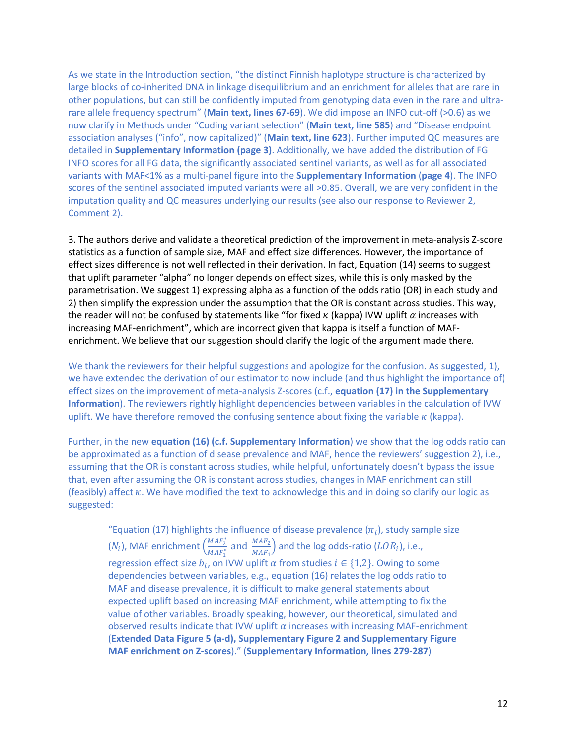As we state in the Introduction section, "the distinct Finnish haplotype structure is characterized by large blocks of co-inherited DNA in linkage disequilibrium and an enrichment for alleles that are rare in other populations, but can still be confidently imputed from genotyping data even in the rare and ultrarare allele frequency spectrum" (**Main text, lines 67-69**). We did impose an INFO cut-off (>0.6) as we now clarify in Methods under "Coding variant selection" (**Main text, line 585**) and "Disease endpoint association analyses ("info", now capitalized)" (**Main text, line 623**). Further imputed QC measures are detailed in **Supplementary Information (page 3)**. Additionally, we have added the distribution of FG INFO scores for all FG data, the significantly associated sentinel variants, as well as for all associated variants with MAF<1% as a multi-panel figure into the **Supplementary Information** (**page 4**). The INFO scores of the sentinel associated imputed variants were all >0.85. Overall, we are very confident in the imputation quality and QC measures underlying our results (see also our response to Reviewer 2, Comment 2).

3. The authors derive and validate a theoretical prediction of the improvement in meta-analysis Z-score statistics as a function of sample size, MAF and effect size differences. However, the importance of effect sizes difference is not well reflected in their derivation. In fact, Equation (14) seems to suggest that uplift parameter "alpha" no longer depends on effect sizes, while this is only masked by the parametrisation. We suggest 1) expressing alpha as a function of the odds ratio (OR) in each study and 2) then simplify the expression under the assumption that the OR is constant across studies. This way, the reader will not be confused by statements like "for fixed  $\kappa$  (kappa) IVW uplift  $\alpha$  increases with increasing MAF-enrichment", which are incorrect given that kappa is itself a function of MAFenrichment. We believe that our suggestion should clarify the logic of the argument made there.

We thank the reviewers for their helpful suggestions and apologize for the confusion. As suggested, 1), we have extended the derivation of our estimator to now include (and thus highlight the importance of) effect sizes on the improvement of meta-analysis Z-scores (c.f., **equation (17) in the Supplementary Information**). The reviewers rightly highlight dependencies between variables in the calculation of IVW uplift. We have therefore removed the confusing sentence about fixing the variable  $\kappa$  (kappa).

Further, in the new **equation (16) (c.f. Supplementary Information**) we show that the log odds ratio can be approximated as a function of disease prevalence and MAF, hence the reviewers' suggestion 2), i.e., assuming that the OR is constant across studies, while helpful, unfortunately doesn't bypass the issue that, even after assuming the OR is constant across studies, changes in MAF enrichment can still (feasibly) affect  $\kappa$ . We have modified the text to acknowledge this and in doing so clarify our logic as suggested:

"Equation (17) highlights the influence of disease prevalence ( $\pi_i$ ), study sample size  $(N_i)$ , MAF enrichment  $\left(\frac{MAF_2^*}{MAF^*}\right)$  $\frac{MAF_2^*}{MAF_1^*}$  and  $\frac{MAF_2}{MAF_1}$  and the log odds-ratio ( $LOR_i$ ), i.e., regression effect size  $b_i$ , on IVW uplift  $\alpha$  from studies  $i \in \{1,2\}$ . Owing to some dependencies between variables, e.g., equation (16) relates the log odds ratio to MAF and disease prevalence, it is difficult to make general statements about expected uplift based on increasing MAF enrichment, while attempting to fix the value of other variables. Broadly speaking, however, our theoretical, simulated and observed results indicate that IVW uplift  $\alpha$  increases with increasing MAF-enrichment (**Extended Data Figure 5 (a-d), Supplementary Figure 2 and Supplementary Figure MAF enrichment on Z-scores**)." (**Supplementary Information, lines 279-287**)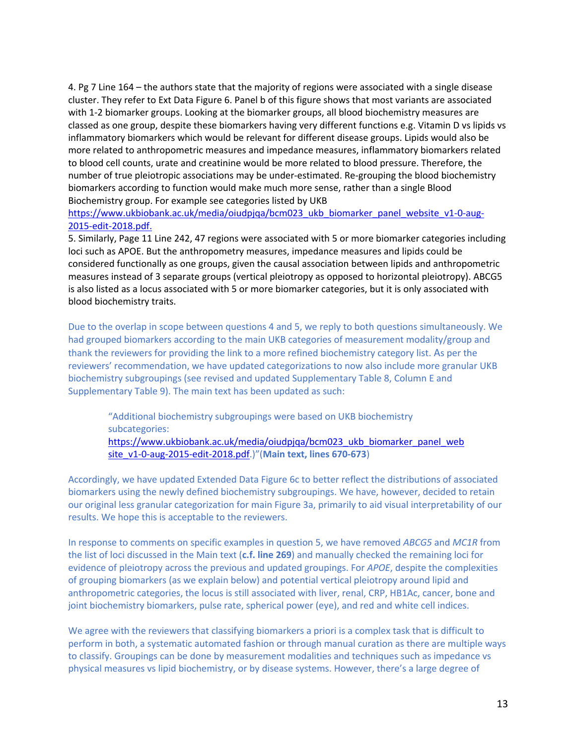4. Pg 7 Line 164 – the authors state that the majority of regions were associated with a single disease cluster. They refer to Ext Data Figure 6. Panel b of this figure shows that most variants are associated with 1-2 biomarker groups. Looking at the biomarker groups, all blood biochemistry measures are classed as one group, despite these biomarkers having very different functions e.g. Vitamin D vs lipids vs inflammatory biomarkers which would be relevant for different disease groups. Lipids would also be more related to anthropometric measures and impedance measures, inflammatory biomarkers related to blood cell counts, urate and creatinine would be more related to blood pressure. Therefore, the number of true pleiotropic associations may be under-estimated. Re-grouping the blood biochemistry biomarkers according to function would make much more sense, rather than a single Blood Biochemistry group. For example see categories listed by UKB

https://www.ukbiobank.ac.uk/media/oiudpjqa/bcm023\_ukb\_biomarker\_panel\_website\_v1-0-aug-2015-edit-2018.pdf.

5. Similarly, Page 11 Line 242, 47 regions were associated with 5 or more biomarker categories including loci such as APOE. But the anthropometry measures, impedance measures and lipids could be considered functionally as one groups, given the causal association between lipids and anthropometric measures instead of 3 separate groups (vertical pleiotropy as opposed to horizontal pleiotropy). ABCG5 is also listed as a locus associated with 5 or more biomarker categories, but it is only associated with blood biochemistry traits.

Due to the overlap in scope between questions 4 and 5, we reply to both questions simultaneously. We had grouped biomarkers according to the main UKB categories of measurement modality/group and thank the reviewers for providing the link to a more refined biochemistry category list. As per the reviewers' recommendation, we have updated categorizations to now also include more granular UKB biochemistry subgroupings (see revised and updated Supplementary Table 8, Column E and Supplementary Table 9). The main text has been updated as such:

"Additional biochemistry subgroupings were based on UKB biochemistry subcategories: https://www.ukbiobank.ac.uk/media/oiudpjqa/bcm023\_ukb\_biomarker\_panel\_web

site\_v1-0-aug-2015-edit-2018.pdf.)"(**Main text, lines 670-673**)

Accordingly, we have updated Extended Data Figure 6c to better reflect the distributions of associated biomarkers using the newly defined biochemistry subgroupings. We have, however, decided to retain our original less granular categorization for main Figure 3a, primarily to aid visual interpretability of our results. We hope this is acceptable to the reviewers.

In response to comments on specific examples in question 5, we have removed *ABCG5* and *MC1R* from the list of loci discussed in the Main text (**c.f. line 269**) and manually checked the remaining loci for evidence of pleiotropy across the previous and updated groupings. For *APOE*, despite the complexities of grouping biomarkers (as we explain below) and potential vertical pleiotropy around lipid and anthropometric categories, the locus is still associated with liver, renal, CRP, HB1Ac, cancer, bone and joint biochemistry biomarkers, pulse rate, spherical power (eye), and red and white cell indices.

We agree with the reviewers that classifying biomarkers a priori is a complex task that is difficult to perform in both, a systematic automated fashion or through manual curation as there are multiple ways to classify. Groupings can be done by measurement modalities and techniques such as impedance vs physical measures vs lipid biochemistry, or by disease systems. However, there's a large degree of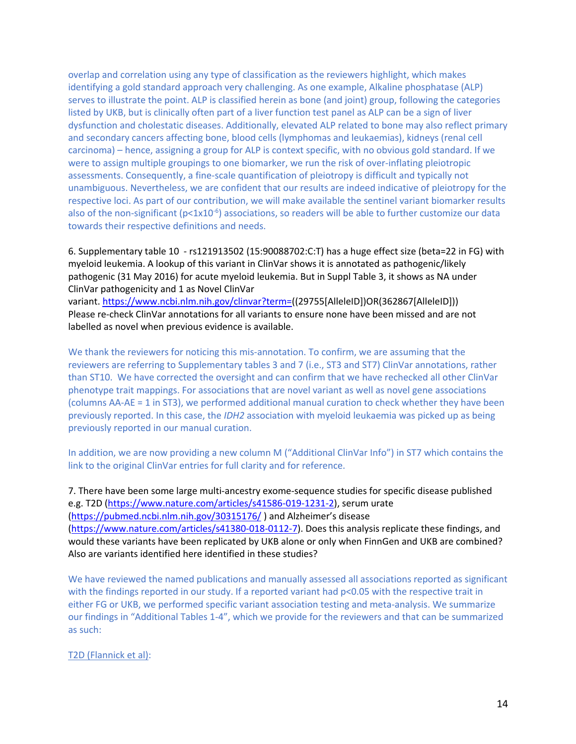overlap and correlation using any type of classification as the reviewers highlight, which makes identifying a gold standard approach very challenging. As one example, Alkaline phosphatase (ALP) serves to illustrate the point. ALP is classified herein as bone (and joint) group, following the categories listed by UKB, but is clinically often part of a liver function test panel as ALP can be a sign of liver dysfunction and cholestatic diseases. Additionally, elevated ALP related to bone may also reflect primary and secondary cancers affecting bone, blood cells (lymphomas and leukaemias), kidneys (renal cell carcinoma) – hence, assigning a group for ALP is context specific, with no obvious gold standard. If we were to assign multiple groupings to one biomarker, we run the risk of over-inflating pleiotropic assessments. Consequently, a fine-scale quantification of pleiotropy is difficult and typically not unambiguous. Nevertheless, we are confident that our results are indeed indicative of pleiotropy for the respective loci. As part of our contribution, we will make available the sentinel variant biomarker results also of the non-significant ( $p<1x10^{-6}$ ) associations, so readers will be able to further customize our data towards their respective definitions and needs.

6. Supplementary table 10 - rs121913502 (15:90088702:C:T) has a huge effect size (beta=22 in FG) with myeloid leukemia. A lookup of this variant in ClinVar shows it is annotated as pathogenic/likely pathogenic (31 May 2016) for acute myeloid leukemia. But in Suppl Table 3, it shows as NA under ClinVar pathogenicity and 1 as Novel ClinVar

variant. https://www.ncbi.nlm.nih.gov/clinvar?term=((29755[AlleleID])OR(362867[AlleleID])) Please re-check ClinVar annotations for all variants to ensure none have been missed and are not labelled as novel when previous evidence is available.

We thank the reviewers for noticing this mis-annotation. To confirm, we are assuming that the reviewers are referring to Supplementary tables 3 and 7 (i.e., ST3 and ST7) ClinVar annotations, rather than ST10. We have corrected the oversight and can confirm that we have rechecked all other ClinVar phenotype trait mappings. For associations that are novel variant as well as novel gene associations (columns AA-AE = 1 in ST3), we performed additional manual curation to check whether they have been previously reported. In this case, the *IDH2* association with myeloid leukaemia was picked up as being previously reported in our manual curation.

In addition, we are now providing a new column M ("Additional ClinVar Info") in ST7 which contains the link to the original ClinVar entries for full clarity and for reference.

7. There have been some large multi-ancestry exome-sequence studies for specific disease published e.g. T2D (https://www.nature.com/articles/s41586-019-1231-2), serum urate (https://pubmed.ncbi.nlm.nih.gov/30315176/ ) and Alzheimer's disease (https://www.nature.com/articles/s41380-018-0112-7). Does this analysis replicate these findings, and would these variants have been replicated by UKB alone or only when FinnGen and UKB are combined? Also are variants identified here identified in these studies?

We have reviewed the named publications and manually assessed all associations reported as significant with the findings reported in our study. If a reported variant had  $p<0.05$  with the respective trait in either FG or UKB, we performed specific variant association testing and meta-analysis. We summarize our findings in "Additional Tables 1-4", which we provide for the reviewers and that can be summarized as such:

T2D (Flannick et al):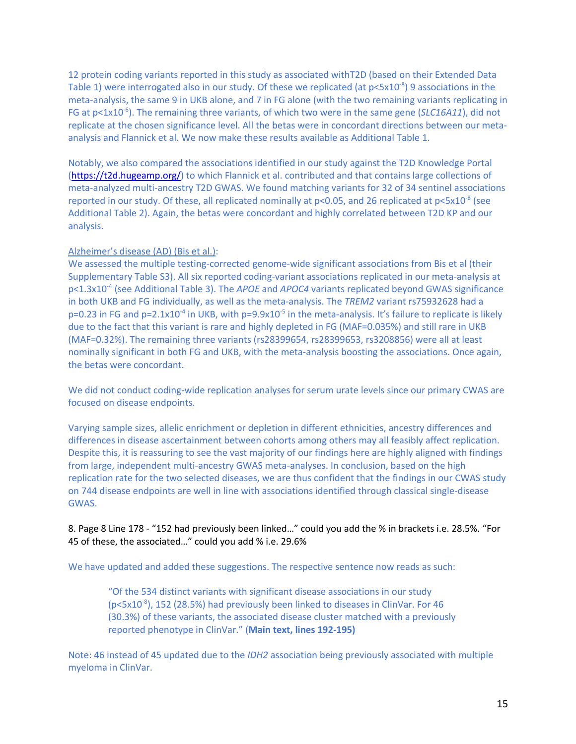12 protein coding variants reported in this study as associated withT2D (based on their Extended Data Table 1) were interrogated also in our study. Of these we replicated (at  $p<$ 5x10<sup>-8</sup>) 9 associations in the meta-analysis, the same 9 in UKB alone, and 7 in FG alone (with the two remaining variants replicating in FG at p<1x10<sup>-6</sup>). The remaining three variants, of which two were in the same gene (*SLC16A11*), did not replicate at the chosen significance level. All the betas were in concordant directions between our metaanalysis and Flannick et al. We now make these results available as Additional Table 1.

Notably, we also compared the associations identified in our study against the T2D Knowledge Portal (https://t2d.hugeamp.org/) to which Flannick et al. contributed and that contains large collections of meta-analyzed multi-ancestry T2D GWAS. We found matching variants for 32 of 34 sentinel associations reported in our study. Of these, all replicated nominally at  $p<0.05$ , and 26 replicated at  $p<5x10^{-8}$  (see Additional Table 2). Again, the betas were concordant and highly correlated between T2D KP and our analysis.

#### Alzheimer's disease (AD) (Bis et al.):

We assessed the multiple testing-corrected genome-wide significant associations from Bis et al (their Supplementary Table S3). All six reported coding-variant associations replicated in our meta-analysis at p<1.3x10-4 (see Additional Table 3). The *APOE* and *APOC4* variants replicated beyond GWAS significance in both UKB and FG individually, as well as the meta-analysis. The *TREM2* variant rs75932628 had a  $p=0.23$  in FG and  $p=2.1x10^{-4}$  in UKB, with  $p=9.9x10^{-5}$  in the meta-analysis. It's failure to replicate is likely due to the fact that this variant is rare and highly depleted in FG (MAF=0.035%) and still rare in UKB (MAF=0.32%). The remaining three variants (rs28399654, rs28399653, rs3208856) were all at least nominally significant in both FG and UKB, with the meta-analysis boosting the associations. Once again, the betas were concordant.

We did not conduct coding-wide replication analyses for serum urate levels since our primary CWAS are focused on disease endpoints.

Varying sample sizes, allelic enrichment or depletion in different ethnicities, ancestry differences and differences in disease ascertainment between cohorts among others may all feasibly affect replication. Despite this, it is reassuring to see the vast majority of our findings here are highly aligned with findings from large, independent multi-ancestry GWAS meta-analyses. In conclusion, based on the high replication rate for the two selected diseases, we are thus confident that the findings in our CWAS study on 744 disease endpoints are well in line with associations identified through classical single-disease GWAS.

#### 8. Page 8 Line 178 - "152 had previously been linked…" could you add the % in brackets i.e. 28.5%. "For 45 of these, the associated…" could you add % i.e. 29.6%

We have updated and added these suggestions. The respective sentence now reads as such:

"Of the 534 distinct variants with significant disease associations in our study (p<5x10<sup>-8</sup>), 152 (28.5%) had previously been linked to diseases in ClinVar. For 46 (30.3%) of these variants, the associated disease cluster matched with a previously reported phenotype in ClinVar." (**Main text, lines 192-195)**

Note: 46 instead of 45 updated due to the *IDH2* association being previously associated with multiple myeloma in ClinVar.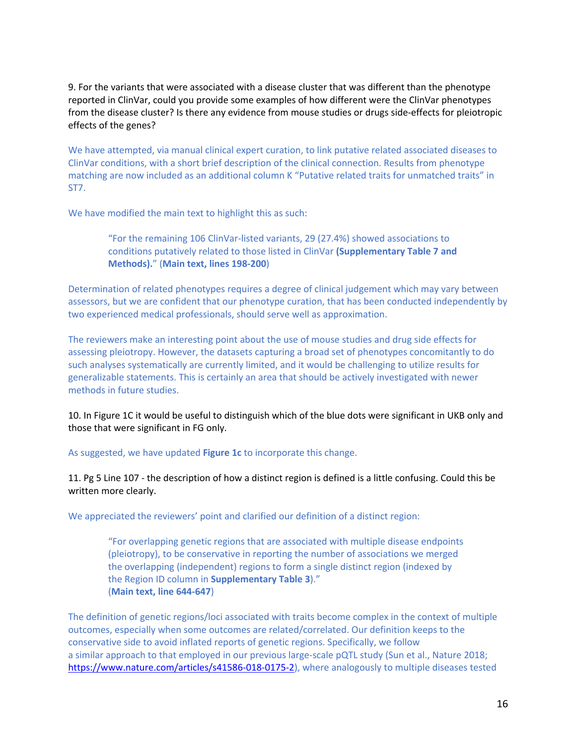9. For the variants that were associated with a disease cluster that was different than the phenotype reported in ClinVar, could you provide some examples of how different were the ClinVar phenotypes from the disease cluster? Is there any evidence from mouse studies or drugs side-effects for pleiotropic effects of the genes?

We have attempted, via manual clinical expert curation, to link putative related associated diseases to ClinVar conditions, with a short brief description of the clinical connection. Results from phenotype matching are now included as an additional column K "Putative related traits for unmatched traits" in ST7.

We have modified the main text to highlight this as such:

"For the remaining 106 ClinVar-listed variants, 29 (27.4%) showed associations to conditions putatively related to those listed in ClinVar **(Supplementary Table 7 and Methods).**" (**Main text, lines 198-200**)

Determination of related phenotypes requires a degree of clinical judgement which may vary between assessors, but we are confident that our phenotype curation, that has been conducted independently by two experienced medical professionals, should serve well as approximation.

The reviewers make an interesting point about the use of mouse studies and drug side effects for assessing pleiotropy. However, the datasets capturing a broad set of phenotypes concomitantly to do such analyses systematically are currently limited, and it would be challenging to utilize results for generalizable statements. This is certainly an area that should be actively investigated with newer methods in future studies.

10. In Figure 1C it would be useful to distinguish which of the blue dots were significant in UKB only and those that were significant in FG only.

As suggested, we have updated **Figure 1c** to incorporate this change.

11. Pg 5 Line 107 - the description of how a distinct region is defined is a little confusing. Could this be written more clearly.

We appreciated the reviewers' point and clarified our definition of a distinct region:

"For overlapping genetic regions that are associated with multiple disease endpoints (pleiotropy), to be conservative in reporting the number of associations we merged the overlapping (independent) regions to form a single distinct region (indexed by the Region ID column in **Supplementary Table 3**)." (**Main text, line 644-647**)

The definition of genetic regions/loci associated with traits become complex in the context of multiple outcomes, especially when some outcomes are related/correlated. Our definition keeps to the conservative side to avoid inflated reports of genetic regions. Specifically, we follow a similar approach to that employed in our previous large-scale pQTL study (Sun et al., Nature 2018; https://www.nature.com/articles/s41586-018-0175-2), where analogously to multiple diseases tested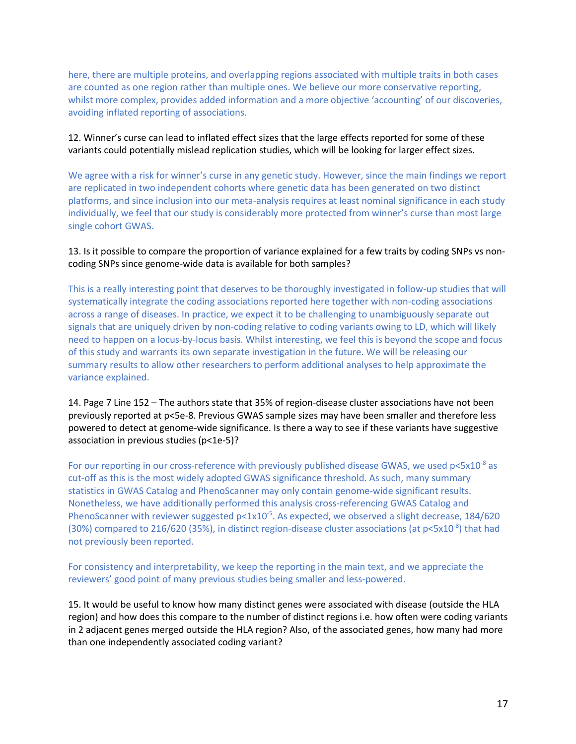here, there are multiple proteins, and overlapping regions associated with multiple traits in both cases are counted as one region rather than multiple ones. We believe our more conservative reporting, whilst more complex, provides added information and a more objective 'accounting' of our discoveries, avoiding inflated reporting of associations.

12. Winner's curse can lead to inflated effect sizes that the large effects reported for some of these variants could potentially mislead replication studies, which will be looking for larger effect sizes.

We agree with a risk for winner's curse in any genetic study. However, since the main findings we report are replicated in two independent cohorts where genetic data has been generated on two distinct platforms, and since inclusion into our meta-analysis requires at least nominal significance in each study individually, we feel that our study is considerably more protected from winner's curse than most large single cohort GWAS.

#### 13. Is it possible to compare the proportion of variance explained for a few traits by coding SNPs vs noncoding SNPs since genome-wide data is available for both samples?

This is a really interesting point that deserves to be thoroughly investigated in follow-up studies that will systematically integrate the coding associations reported here together with non-coding associations across a range of diseases. In practice, we expect it to be challenging to unambiguously separate out signals that are uniquely driven by non-coding relative to coding variants owing to LD, which will likely need to happen on a locus-by-locus basis. Whilst interesting, we feel this is beyond the scope and focus of this study and warrants its own separate investigation in the future. We will be releasing our summary results to allow other researchers to perform additional analyses to help approximate the variance explained.

14. Page 7 Line 152 – The authors state that 35% of region-disease cluster associations have not been previously reported at p<5e-8. Previous GWAS sample sizes may have been smaller and therefore less powered to detect at genome-wide significance. Is there a way to see if these variants have suggestive association in previous studies (p<1e-5)?

For our reporting in our cross-reference with previously published disease GWAS, we used  $p<5x10^{-8}$  as cut-off as this is the most widely adopted GWAS significance threshold. As such, many summary statistics in GWAS Catalog and PhenoScanner may only contain genome-wide significant results. Nonetheless, we have additionally performed this analysis cross-referencing GWAS Catalog and PhenoScanner with reviewer suggested  $p<1x10^{-5}$ . As expected, we observed a slight decrease, 184/620 (30%) compared to 216/620 (35%), in distinct region-disease cluster associations (at  $p<5x10^{-8}$ ) that had not previously been reported.

For consistency and interpretability, we keep the reporting in the main text, and we appreciate the reviewers' good point of many previous studies being smaller and less-powered.

15. It would be useful to know how many distinct genes were associated with disease (outside the HLA region) and how does this compare to the number of distinct regions i.e. how often were coding variants in 2 adjacent genes merged outside the HLA region? Also, of the associated genes, how many had more than one independently associated coding variant?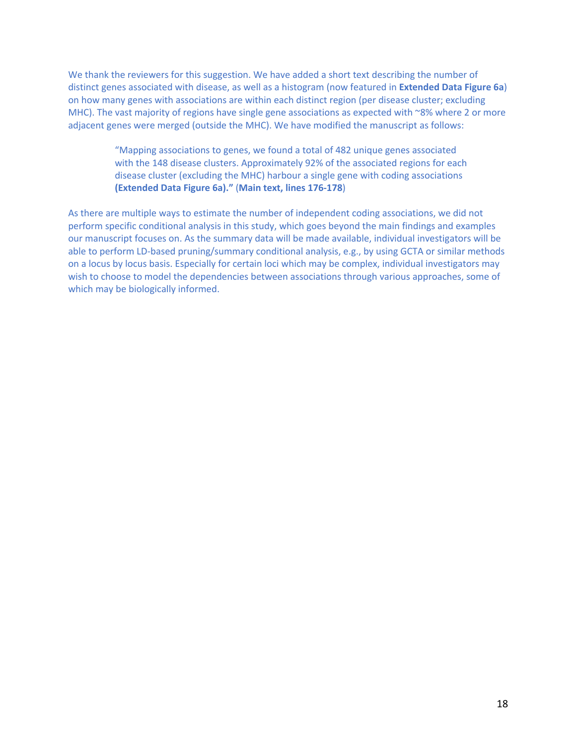We thank the reviewers for this suggestion. We have added a short text describing the number of distinct genes associated with disease, as well as a histogram (now featured in **Extended Data Figure 6a**) on how many genes with associations are within each distinct region (per disease cluster; excluding MHC). The vast majority of regions have single gene associations as expected with ~8% where 2 or more adjacent genes were merged (outside the MHC). We have modified the manuscript as follows:

> "Mapping associations to genes, we found a total of 482 unique genes associated with the 148 disease clusters. Approximately 92% of the associated regions for each disease cluster (excluding the MHC) harbour a single gene with coding associations **(Extended Data Figure 6a)."** (**Main text, lines 176-178**)

As there are multiple ways to estimate the number of independent coding associations, we did not perform specific conditional analysis in this study, which goes beyond the main findings and examples our manuscript focuses on. As the summary data will be made available, individual investigators will be able to perform LD-based pruning/summary conditional analysis, e.g., by using GCTA or similar methods on a locus by locus basis. Especially for certain loci which may be complex, individual investigators may wish to choose to model the dependencies between associations through various approaches, some of which may be biologically informed.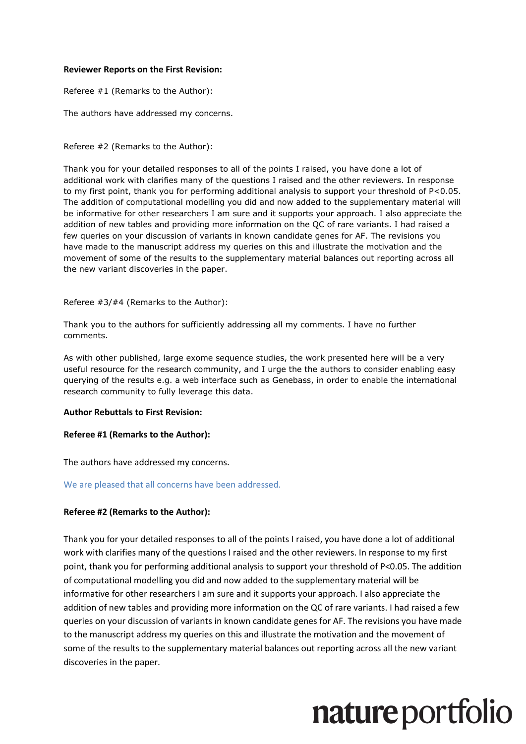#### **Reviewer Reports on the First Revision:**

Referee #1 (Remarks to the Author):

The authors have addressed my concerns.

Referee #2 (Remarks to the Author):

Thank you for your detailed responses to all of the points I raised, you have done a lot of additional work with clarifies many of the questions I raised and the other reviewers. In response to my first point, thank you for performing additional analysis to support your threshold of P<0.05. The addition of computational modelling you did and now added to the supplementary material will be informative for other researchers I am sure and it supports your approach. I also appreciate the addition of new tables and providing more information on the QC of rare variants. I had raised a few queries on your discussion of variants in known candidate genes for AF. The revisions you have made to the manuscript address my queries on this and illustrate the motivation and the movement of some of the results to the supplementary material balances out reporting across all the new variant discoveries in the paper.

Referee #3/#4 (Remarks to the Author):

Thank you to the authors for sufficiently addressing all my comments. I have no further comments.

As with other published, large exome sequence studies, the work presented here will be a very useful resource for the research community, and I urge the the authors to consider enabling easy querying of the results e.g. a web interface such as Genebass, in order to enable the international research community to fully leverage this data.

#### **Author Rebuttals to First Revision:**

#### **Referee #1 (Remarks to the Author):**

The authors have addressed my concerns.

#### We are pleased that all concerns have been addressed.

#### **Referee #2 (Remarks to the Author):**

Thank you for your detailed responses to all of the points I raised, you have done a lot of additional work with clarifies many of the questions I raised and the other reviewers. In response to my first point, thank you for performing additional analysis to support your threshold of P<0.05. The addition of computational modelling you did and now added to the supplementary material will be informative for other researchers I am sure and it supports your approach. I also appreciate the addition of new tables and providing more information on the QC of rare variants. I had raised a few queries on your discussion of variants in known candidate genes for AF. The revisions you have made to the manuscript address my queries on this and illustrate the motivation and the movement of some of the results to the supplementary material balances out reporting across all the new variant discoveries in the paper.